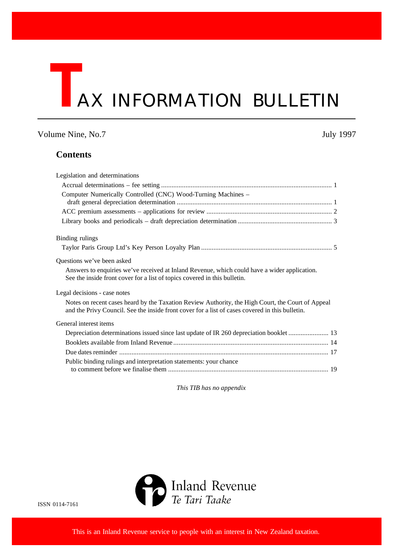# **TAX INFORMATION BULLETIN**

### Volume Nine, No.7 July 1997

### **Contents**

| Legislation and determinations                                                                                                                                                                       |
|------------------------------------------------------------------------------------------------------------------------------------------------------------------------------------------------------|
|                                                                                                                                                                                                      |
| Computer Numerically Controlled (CNC) Wood-Turning Machines -                                                                                                                                        |
|                                                                                                                                                                                                      |
|                                                                                                                                                                                                      |
|                                                                                                                                                                                                      |
| Binding rulings                                                                                                                                                                                      |
|                                                                                                                                                                                                      |
| Questions we've been asked                                                                                                                                                                           |
| Answers to enquiries we've received at Inland Revenue, which could have a wider application.<br>See the inside front cover for a list of topics covered in this bulletin.                            |
| Legal decisions - case notes                                                                                                                                                                         |
| Notes on recent cases heard by the Taxation Review Authority, the High Court, the Court of Appeal<br>and the Privy Council. See the inside front cover for a list of cases covered in this bulletin. |
| General interest items                                                                                                                                                                               |
| Depreciation determinations issued since last update of IR 260 depreciation booklet  13                                                                                                              |
|                                                                                                                                                                                                      |
|                                                                                                                                                                                                      |
| Public binding rulings and interpretation statements: your chance                                                                                                                                    |
|                                                                                                                                                                                                      |

*This TIB has no appendix*



ISSN 0114-7161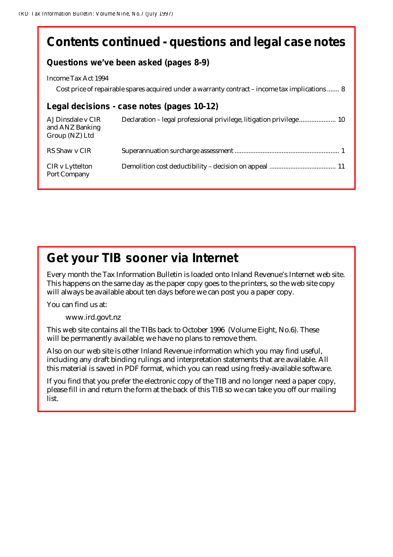# **Contents continued - questions and legal case notes**

### **Questions we've been asked (pages 8-9)**

### Income Tax Act 1994

Cost price of repairable spares acquired under a warranty contract – income tax implications ....... 8

### **Legal decisions - case notes (pages 10-12)**

| AJ Dinsdale v CIR<br>and ANZ Banking<br>Group (NZ) Ltd | Declaration - legal professional privilege, litigation privilege 10 |
|--------------------------------------------------------|---------------------------------------------------------------------|
| RS Shaw y CIR                                          |                                                                     |
| CIR v Lyttelton<br>Port Company                        |                                                                     |

# **Get your TIB sooner via Internet**

Every month the Tax Information Bulletin is loaded onto Inland Revenue's Internet web site. This happens on the same day as the paper copy goes to the printers, so the web site copy will always be available about ten days before we can post you a paper copy.

You can find us at:

www.ird.govt.nz

This web site contains all the TIBs back to October 1996 (Volume Eight, No.6). These will be permanently available; we have no plans to remove them.

Also on our web site is other Inland Revenue information which you may find useful, including any draft binding rulings and interpretation statements that are available. All this material is saved in PDF format, which you can read using freely-available software.

If you find that you prefer the electronic copy of the TIB and no longer need a paper copy, please fill in and return the form at the back of this TIB so we can take you off our mailing list.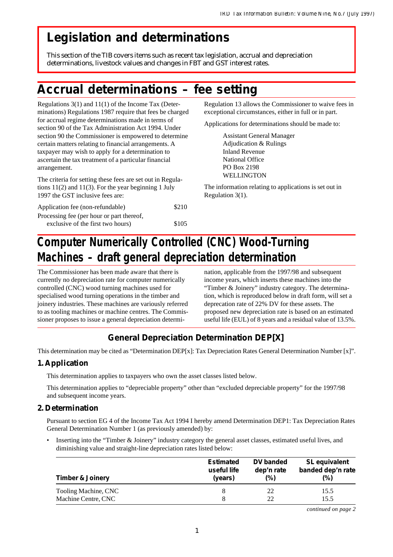# **Legislation and determinations**

This section of the TIB covers items such as recent tax legislation, accrual and depreciation determinations, livestock values and changes in FBT and GST interest rates.

# **Accrual determinations – fee setting**

Regulations 3(1) and 11(1) of the Income Tax (Determinations) Regulations 1987 require that fees be charged for accrual regime determinations made in terms of section 90 of the Tax Administration Act 1994. Under section 90 the Commissioner is empowered to determine certain matters relating to financial arrangements. A taxpayer may wish to apply for a determination to ascertain the tax treatment of a particular financial arrangement.

The criteria for setting these fees are set out in Regulations 11(2) and 11(3). For the year beginning 1 July 1997 the GST inclusive fees are:

| Application fee (non-refundable)          | \$210 |
|-------------------------------------------|-------|
| Processing fee (per hour or part thereof, |       |
| exclusive of the first two hours)         | \$105 |

Regulation 13 allows the Commissioner to waive fees in exceptional circumstances, either in full or in part.

Applications for determinations should be made to:

Assistant General Manager Adjudication & Rulings Inland Revenue National Office PO Box 2198 WELLINGTON

The information relating to applications is set out in Regulation 3(1).

# **Computer Numerically Controlled (CNC) Wood-Turning Machines – draft general depreciation determination**

The Commissioner has been made aware that there is currently no depreciation rate for computer numerically controlled (CNC) wood turning machines used for specialised wood turning operations in the timber and joinery industries. These machines are variously referred to as tooling machines or machine centres. The Commissioner proposes to issue a general depreciation determi-

nation, applicable from the 1997/98 and subsequent income years, which inserts these machines into the "Timber & Joinery" industry category. The determination, which is reproduced below in draft form, will set a deprecation rate of 22% DV for these assets. The proposed new depreciation rate is based on an estimated useful life (EUL) of 8 years and a residual value of 13.5%.

## **General Depreciation Determination DEP[X]**

This determination may be cited as "Determination DEP[x]: Tax Depreciation Rates General Determination Number [x]".

### **1. Application**

This determination applies to taxpayers who own the asset classes listed below.

This determination applies to "depreciable property" other than "excluded depreciable property" for the 1997/98 and subsequent income years.

### **2. Determination**

Pursuant to section EG 4 of the Income Tax Act 1994 I hereby amend Determination DEP1: Tax Depreciation Rates General Determination Number 1 (as previously amended) by:

• Inserting into the "Timber & Joinery" industry category the general asset classes, estimated useful lives, and diminishing value and straight-line depreciation rates listed below:

| <b>Timber &amp; Joinery</b> | <b>Estimated</b><br>useful life<br>(years) | DV banded<br>dep'n rate<br>$(\%)$ | <b>SL</b> equivalent<br>banded dep'n rate<br>$(\%)$ |  |
|-----------------------------|--------------------------------------------|-----------------------------------|-----------------------------------------------------|--|
| Tooling Machine, CNC        | 8                                          | 22                                | 15.5                                                |  |
| Machine Centre, CNC         | 8                                          | 22                                | 15.5                                                |  |

*continued on page 2*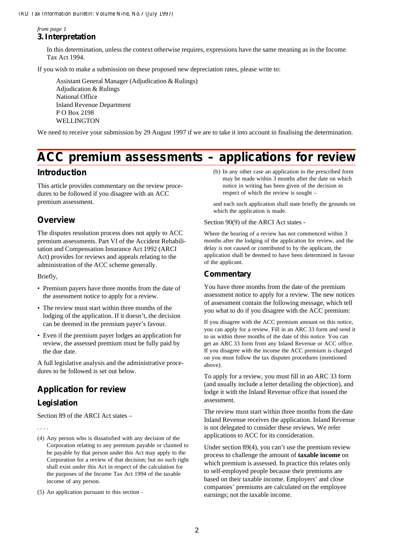*from page 1* **3. Interpretation**

> In this determination, unless the context otherwise requires, expressions have the same meaning as in the Income Tax Act 1994.

If you wish to make a submission on these proposed new depreciation rates, please write to:

Assistant General Manager (Adjudication & Rulings) Adjudication & Rulings National Office Inland Revenue Department P O Box 2198 WELLINGTON

We need to receive your submission by 29 August 1997 if we are to take it into account in finalising the determination.

# **ACC premium assessments – applications for review**

### **Introduction**

This article provides commentary on the review procedures to be followed if you disagree with an ACC premium assessment.

### **Overview**

The disputes resolution process does not apply to ACC premium assessments. Part VI of the Accident Rehabilitation and Compensation Insurance Act 1992 (ARCI Act) provides for reviews and appeals relating to the administration of the ACC scheme generally.

Briefly,

- Premium payers have three months from the date of the assessment notice to apply for a review.
- The review must start within three months of the lodging of the application. If it doesn't, the decision can be deemed in the premium payer's favour.
- Even if the premium payer lodges an application for review, the assessed premium must be fully paid by the due date.

A full legislative analysis and the administrative procedures to be followed is set out below.

# **Application for review**

### **Legislation**

. . . .

Section 89 of the ARCI Act states –

(4) Any person who is dissatisfied with any decision of the Corporation relating to any premium payable or claimed to be payable by that person under this Act may apply to the Corporation for a review of that decision; but no such right shall exist under this Act in respect of the calculation for the purposes of the Income Tax Act 1994 of the taxable income of any person.

(5) An application pursuant to this section -

(b) In any other case an application in the prescribed form may be made within 3 months after the date on which notice in writing has been given of the decision in respect of which the review is sought –

and each such application shall state briefly the grounds on which the application is made.

### Section 90(9) of the ARCI Act states -

Where the hearing of a review has not commenced within 3 months after the lodging of the application for review, and the delay is not caused or contributed to by the applicant, the application shall be deemed to have been determined in favour of the applicant.

### **Commentary**

You have three months from the date of the premium assessment notice to apply for a review. The new notices of assessment contain the following message, which tell you what to do if you disagree with the ACC premium:

If you disagree with the ACC premium amount on this notice, you can apply for a review. Fill in an ARC 33 form and send it to us within three months of the date of this notice. You can get an ARC 33 form from any Inland Revenue or ACC office. If you disagree with the income the ACC premium is charged on you must follow the tax disputes procedures (mentioned above).

To apply for a review, you must fill in an ARC 33 form (and usually include a letter detailing the objection), and lodge it with the Inland Revenue office that issued the assessment.

The review must start within three months from the date Inland Revenue receives the application. Inland Revenue is not delegated to consider these reviews. We refer applications to ACC for its consideration.

Under section 89(4), you can't use the premium review process to challenge the amount of **taxable income** on which premium is assessed. In practice this relates only to self-employed people because their premiums are based on their taxable income. Employers' and close companies' premiums are calculated on the employee earnings; not the taxable income.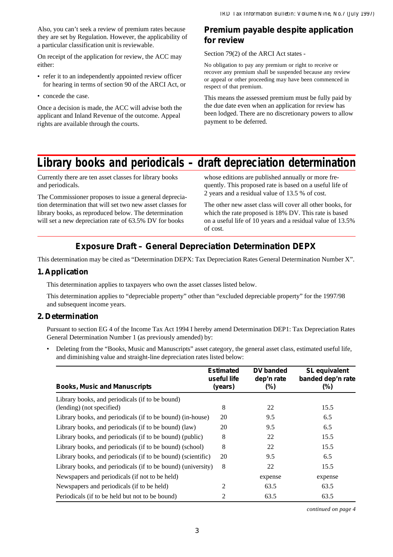Also, you can't seek a review of premium rates because they are set by Regulation. However, the applicability of a particular classification unit is reviewable.

On receipt of the application for review, the ACC may either:

- refer it to an independently appointed review officer for hearing in terms of section 90 of the ARCI Act, or
- concede the case.

Once a decision is made, the ACC will advise both the applicant and Inland Revenue of the outcome. Appeal rights are available through the courts.

### **Premium payable despite application for review**

Section 79(2) of the ARCI Act states -

No obligation to pay any premium or right to receive or recover any premium shall be suspended because any review or appeal or other proceeding may have been commenced in respect of that premium.

This means the assessed premium must be fully paid by the due date even when an application for review has been lodged. There are no discretionary powers to allow payment to be deferred.

# **Library books and periodicals – draft depreciation determination**

Currently there are ten asset classes for library books and periodicals.

The Commissioner proposes to issue a general depreciation determination that will set two new asset classes for library books, as reproduced below. The determination will set a new depreciation rate of 63.5% DV for books

whose editions are published annually or more frequently. This proposed rate is based on a useful life of 2 years and a residual value of 13.5 % of cost.

The other new asset class will cover all other books, for which the rate proposed is 18% DV. This rate is based on a useful life of 10 years and a residual value of 13.5% of cost.

### **Exposure Draft – General Depreciation Determination DEPX**

This determination may be cited as "Determination DEPX: Tax Depreciation Rates General Determination Number X".

### **1. Application**

This determination applies to taxpayers who own the asset classes listed below.

This determination applies to "depreciable property" other than "excluded depreciable property" for the 1997/98 and subsequent income years.

### **2. Determination**

Pursuant to section EG 4 of the Income Tax Act 1994 I hereby amend Determination DEP1: Tax Depreciation Rates General Determination Number 1 (as previously amended) by:

• Deleting from the "Books, Music and Manuscripts" asset category, the general asset class, estimated useful life, and diminishing value and straight-line depreciation rates listed below:

| <b>Books, Music and Manuscripts</b>                                          | <b>Estimated</b><br>useful life<br>(years) | DV banded<br>dep'n rate<br>(%) | SL equivalent<br>banded dep'n rate<br>$(\%)$ |
|------------------------------------------------------------------------------|--------------------------------------------|--------------------------------|----------------------------------------------|
| Library books, and periodicals (if to be bound)<br>(lending) (not specified) | 8                                          | 22                             | 15.5                                         |
| Library books, and periodicals (if to be bound) (in-house)                   | 20                                         | 9.5                            | 6.5                                          |
| Library books, and periodicals (if to be bound) (law)                        | 20                                         | 9.5                            | 6.5                                          |
| Library books, and periodicals (if to be bound) (public)                     | 8                                          | 22                             | 15.5                                         |
| Library books, and periodicals (if to be bound) (school)                     | 8                                          | 22                             | 15.5                                         |
| Library books, and periodicals (if to be bound) (scientific)                 | 20                                         | 9.5                            | 6.5                                          |
| Library books, and periodicals (if to be bound) (university)                 | 8                                          | 22                             | 15.5                                         |
| Newspapers and periodicals (if not to be held)                               |                                            | expense                        | expense                                      |
| Newspapers and periodicals (if to be held)                                   | 2                                          | 63.5                           | 63.5                                         |
| Periodicals (if to be held but not to be bound)                              | 2                                          | 63.5                           | 63.5                                         |

*continued on page 4*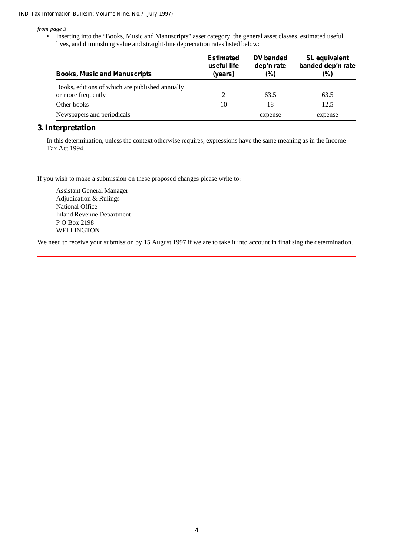*from page 3*

• Inserting into the "Books, Music and Manuscripts" asset category, the general asset classes, estimated useful lives, and diminishing value and straight-line depreciation rates listed below:

| <b>Books, Music and Manuscripts</b>             | <b>Estimated</b><br>useful life<br>(years) | DV banded<br>dep'n rate<br>(%) | SL equivalent<br>banded dep'n rate<br>(%) |  |
|-------------------------------------------------|--------------------------------------------|--------------------------------|-------------------------------------------|--|
| Books, editions of which are published annually |                                            |                                |                                           |  |
| or more frequently                              | 2                                          | 63.5                           | 63.5                                      |  |
| Other books                                     | 10                                         | 18                             | 12.5                                      |  |
| Newspapers and periodicals                      |                                            | expense                        | expense                                   |  |

### **3. Interpretation**

In this determination, unless the context otherwise requires, expressions have the same meaning as in the Income Tax Act 1994.

If you wish to make a submission on these proposed changes please write to:

Assistant General Manager Adjudication & Rulings National Office Inland Revenue Department P O Box 2198 WELLINGTON

We need to receive your submission by 15 August 1997 if we are to take it into account in finalising the determination.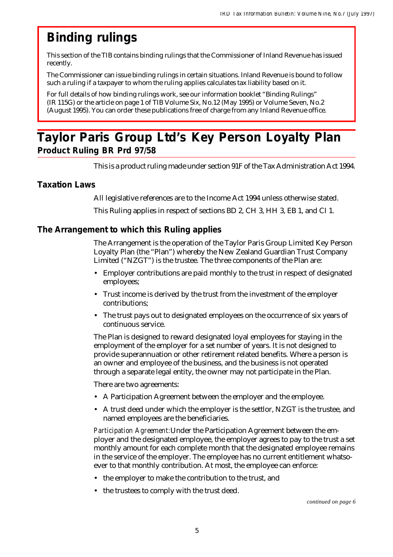# **Binding rulings**

This section of the TIB contains binding rulings that the Commissioner of Inland Revenue has issued recently.

The Commissioner can issue binding rulings in certain situations. Inland Revenue is bound to follow such a ruling if a taxpayer to whom the ruling applies calculates tax liability based on it.

For full details of how binding rulings work, see our information booklet "Binding Rulings" (IR 115G) or the article on page 1 of TIB Volume Six, No.12 (May 1995) or Volume Seven, No.2 (August 1995). You can order these publications free of charge from any Inland Revenue office.

# **Taylor Paris Group Ltd's Key Person Loyalty Plan Product Ruling BR Prd 97/58**

This is a product ruling made under section 91F of the Tax Administration Act 1994.

### **Taxation Laws**

All legislative references are to the Income Act 1994 unless otherwise stated.

This Ruling applies in respect of sections BD 2, CH 3, HH 3, EB 1, and CI 1.

### **The Arrangement to which this Ruling applies**

The Arrangement is the operation of the Taylor Paris Group Limited Key Person Loyalty Plan (the "Plan") whereby the New Zealand Guardian Trust Company Limited ("NZGT") is the trustee. The three components of the Plan are:

- Employer contributions are paid monthly to the trust in respect of designated employees;
- Trust income is derived by the trust from the investment of the employer contributions;
- The trust pays out to designated employees on the occurrence of six years of continuous service.

The Plan is designed to reward designated loyal employees for staying in the employment of the employer for a set number of years. It is not designed to provide superannuation or other retirement related benefits. Where a person is an owner and employee of the business, and the business is not operated through a separate legal entity, the owner may not participate in the Plan.

There are two agreements:

- A Participation Agreement between the employer and the employee.
- A trust deed under which the employer is the settlor, NZGT is the trustee, and named employees are the beneficiaries.

*Participation Agreement:* Under the Participation Agreement between the employer and the designated employee, the employer agrees to pay to the trust a set monthly amount for each complete month that the designated employee remains in the service of the employer. The employee has no current entitlement whatsoever to that monthly contribution. At most, the employee can enforce:

- the employer to make the contribution to the trust, and
- the trustees to comply with the trust deed.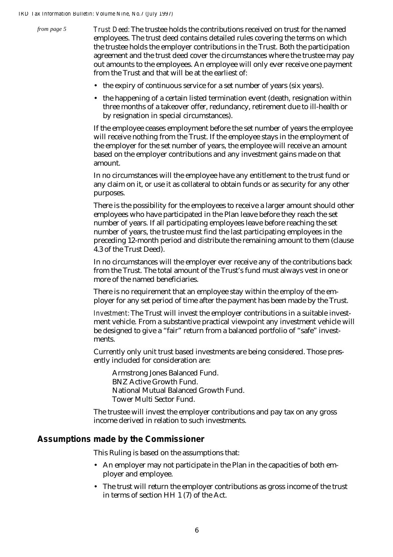*from page 5*

*Trust Deed:* The trustee holds the contributions received on trust for the named employees. The trust deed contains detailed rules covering the terms on which the trustee holds the employer contributions in the Trust. Both the participation agreement and the trust deed cover the circumstances where the trustee may pay out amounts to the employees. An employee will only ever receive one payment from the Trust and that will be at the earliest of:

- the expiry of continuous service for a set number of years (six years).
- the happening of a certain listed termination event (death, resignation within three months of a takeover offer, redundancy, retirement due to ill-health or by resignation in special circumstances).

If the employee ceases employment before the set number of years the employee will receive nothing from the Trust. If the employee stays in the employment of the employer for the set number of years, the employee will receive an amount based on the employer contributions and any investment gains made on that amount.

In no circumstances will the employee have any entitlement to the trust fund or any claim on it, or use it as collateral to obtain funds or as security for any other purposes.

There is the possibility for the employees to receive a larger amount should other employees who have participated in the Plan leave before they reach the set number of years. If all participating employees leave before reaching the set number of years, the trustee must find the last participating employees in the preceding 12-month period and distribute the remaining amount to them (clause 4.3 of the Trust Deed).

In no circumstances will the employer ever receive any of the contributions back from the Trust. The total amount of the Trust's fund must always vest in one or more of the named beneficiaries.

There is no requirement that an employee stay within the employ of the employer for any set period of time after the payment has been made by the Trust.

*Investment:* The Trust will invest the employer contributions in a suitable investment vehicle. From a substantive practical viewpoint any investment vehicle will be designed to give a "fair" return from a balanced portfolio of "safe" investments.

Currently only unit trust based investments are being considered. Those presently included for consideration are:

Armstrong Jones Balanced Fund. BNZ Active Growth Fund. National Mutual Balanced Growth Fund. Tower Multi Sector Fund.

The trustee will invest the employer contributions and pay tax on any gross income derived in relation to such investments.

### **Assumptions made by the Commissioner**

This Ruling is based on the assumptions that:

- An employer may not participate in the Plan in the capacities of both employer and employee.
- The trust will return the employer contributions as gross income of the trust in terms of section HH 1 (7) of the Act.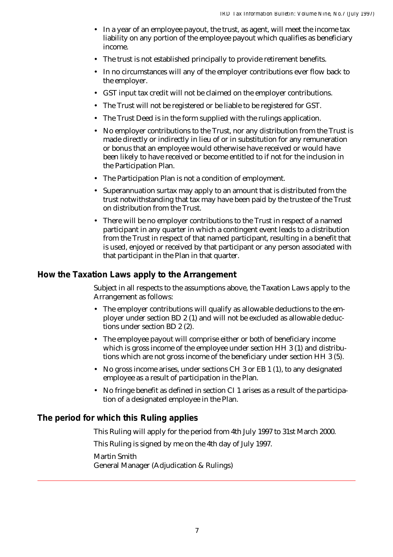- In a year of an employee payout, the trust, as agent, will meet the income tax liability on any portion of the employee payout which qualifies as beneficiary income.
- The trust is not established principally to provide retirement benefits.
- In no circumstances will any of the employer contributions ever flow back to the employer.
- GST input tax credit will not be claimed on the employer contributions.
- The Trust will not be registered or be liable to be registered for GST.
- The Trust Deed is in the form supplied with the rulings application.
- No employer contributions to the Trust, nor any distribution from the Trust is made directly or indirectly in lieu of or in substitution for any remuneration or bonus that an employee would otherwise have received or would have been likely to have received or become entitled to if not for the inclusion in the Participation Plan.
- The Participation Plan is not a condition of employment.
- Superannuation surtax may apply to an amount that is distributed from the trust notwithstanding that tax may have been paid by the trustee of the Trust on distribution from the Trust.
- There will be no employer contributions to the Trust in respect of a named participant in any quarter in which a contingent event leads to a distribution from the Trust in respect of that named participant, resulting in a benefit that is used, enjoyed or received by that participant or any person associated with that participant in the Plan in that quarter.

### **How the Taxation Laws apply to the Arrangement**

Subject in all respects to the assumptions above, the Taxation Laws apply to the Arrangement as follows:

- The employer contributions will qualify as allowable deductions to the employer under section BD 2 (1) and will not be excluded as allowable deductions under section BD 2 (2).
- The employee payout will comprise either or both of beneficiary income which is gross income of the employee under section HH 3 (1) and distributions which are not gross income of the beneficiary under section HH 3 (5).
- No gross income arises, under sections CH 3 or EB 1 (1), to any designated employee as a result of participation in the Plan.
- No fringe benefit as defined in section CI 1 arises as a result of the participation of a designated employee in the Plan.

### **The period for which this Ruling applies**

This Ruling will apply for the period from 4th July 1997 to 31st March 2000.

This Ruling is signed by me on the 4th day of July 1997.

Martin Smith General Manager (Adjudication & Rulings)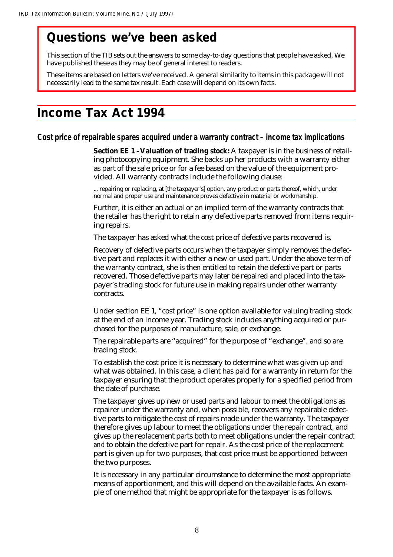# **Questions we've been asked**

This section of the TIB sets out the answers to some day-to-day questions that people have asked. We have published these as they may be of general interest to readers.

These items are based on letters we've received. A general similarity to items in this package will not necessarily lead to the same tax result. Each case will depend on its own facts.

# **Income Tax Act 1994**

**Cost price of repairable spares acquired under a warranty contract – income tax implications**

**Section EE 1 -Valuation of trading stock:** A taxpayer is in the business of retailing photocopying equipment. She backs up her products with a warranty either as part of the sale price or for a fee based on the value of the equipment provided. All warranty contracts include the following clause:

... repairing or replacing, at [the taxpayer's] option, any product or parts thereof, which, under normal and proper use and maintenance proves defective in material or workmanship.

Further, it is either an actual or an implied term of the warranty contracts that the retailer has the right to retain any defective parts removed from items requiring repairs.

The taxpayer has asked what the cost price of defective parts recovered is.

Recovery of defective parts occurs when the taxpayer simply removes the defective part and replaces it with either a new or used part. Under the above term of the warranty contract, she is then entitled to retain the defective part or parts recovered. Those defective parts may later be repaired and placed into the taxpayer's trading stock for future use in making repairs under other warranty contracts.

Under section EE 1, "cost price" is one option available for valuing trading stock at the end of an income year. Trading stock includes anything acquired or purchased for the purposes of manufacture, sale, or exchange.

The repairable parts are "acquired" for the purpose of "exchange", and so are trading stock.

To establish the cost price it is necessary to determine what was given up and what was obtained. In this case, a client has paid for a warranty in return for the taxpayer ensuring that the product operates properly for a specified period from the date of purchase.

The taxpayer gives up new or used parts and labour to meet the obligations as repairer under the warranty and, when possible, recovers any repairable defective parts to mitigate the cost of repairs made under the warranty. The taxpayer therefore gives up labour to meet the obligations under the repair contract, and gives up the replacement parts both to meet obligations under the repair contract *and* to obtain the defective part for repair. As the cost price of the replacement part is given up for two purposes, that cost price must be apportioned between the two purposes.

It is necessary in any particular circumstance to determine the most appropriate means of apportionment, and this will depend on the available facts. An example of one method that might be appropriate for the taxpayer is as follows.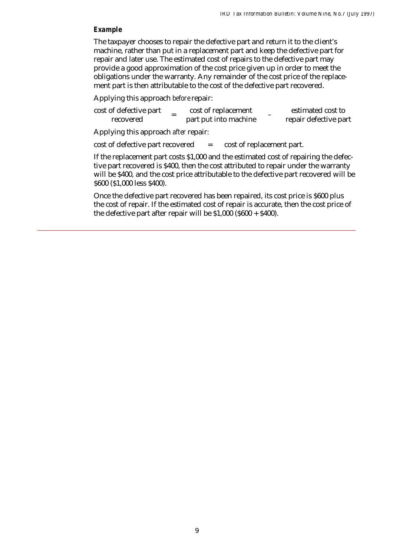### *Example*

The taxpayer chooses to repair the defective part and return it to the client's machine, rather than put in a replacement part and keep the defective part for repair and later use. The estimated cost of repairs to the defective part may provide a good approximation of the cost price given up in order to meet the obligations under the warranty. Any remainder of the cost price of the replacement part is then attributable to the cost of the defective part recovered.

Applying this approach *before* repair:

| cost of defective part | $\overline{\phantom{a}}$ | cost of replacement   | estimated cost to     |
|------------------------|--------------------------|-----------------------|-----------------------|
| recovered              |                          | part put into machine | repair defective part |

Applying this approach *after* repair:

 $\cot$  of defective part recovered  $\c$  =  $\cot$  of replacement part.

If the replacement part costs \$1,000 and the estimated cost of repairing the defective part recovered is \$400, then the cost attributed to repair under the warranty will be \$400, and the cost price attributable to the defective part recovered will be \$600 (\$1,000 less \$400).

Once the defective part recovered has been repaired, its cost price is \$600 plus the cost of repair. If the estimated cost of repair is accurate, then the cost price of the defective part after repair will be  $$1,000$  ( $$600 + $400$ ).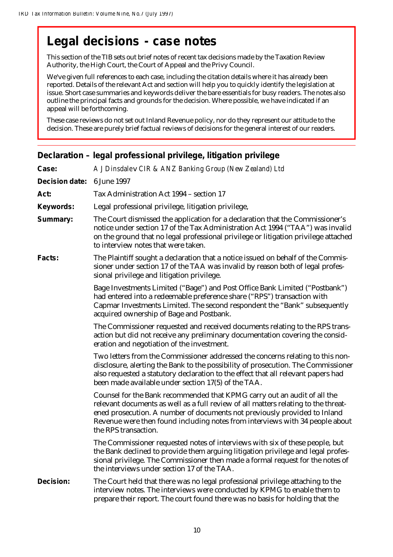# **Legal decisions - case notes**

This section of the TIB sets out brief notes of recent tax decisions made by the Taxation Review Authority, the High Court, the Court of Appeal and the Privy Council.

We've given full references to each case, including the citation details where it has already been reported. Details of the relevant Act and section will help you to quickly identify the legislation at issue. Short case summaries and keywords deliver the bare essentials for busy readers. The notes also outline the principal facts and grounds for the decision. Where possible, we have indicated if an appeal will be forthcoming.

These case reviews do not set out Inland Revenue policy, nor do they represent our attitude to the decision. These are purely brief factual reviews of decisions for the general interest of our readers.

| Case:          | A J Dinsdalev CIR & ANZ Banking Group (New Zealand) Ltd                                                                                                                                                                                                                                                                                             |
|----------------|-----------------------------------------------------------------------------------------------------------------------------------------------------------------------------------------------------------------------------------------------------------------------------------------------------------------------------------------------------|
| Decision date: | 6 June 1997                                                                                                                                                                                                                                                                                                                                         |
| Act:           | Tax Administration Act 1994 - section 17                                                                                                                                                                                                                                                                                                            |
| Keywords:      | Legal professional privilege, litigation privilege,                                                                                                                                                                                                                                                                                                 |
| Summary:       | The Court dismissed the application for a declaration that the Commissioner's<br>notice under section 17 of the Tax Administration Act 1994 ("TAA") was invalid<br>on the ground that no legal professional privilege or litigation privilege attached<br>to interview notes that were taken.                                                       |
| <b>Facts:</b>  | The Plaintiff sought a declaration that a notice issued on behalf of the Commis-<br>sioner under section 17 of the TAA was invalid by reason both of legal profes-<br>sional privilege and litigation privilege.                                                                                                                                    |
|                | Bage Investments Limited ("Bage") and Post Office Bank Limited ("Postbank")<br>had entered into a redeemable preference share ("RPS") transaction with<br>Capmar Investments Limited. The second respondent the "Bank" subsequently<br>acquired ownership of Bage and Postbank.                                                                     |
|                | The Commissioner requested and received documents relating to the RPS trans-<br>action but did not receive any preliminary documentation covering the consid-<br>eration and negotiation of the investment.                                                                                                                                         |
|                | Two letters from the Commissioner addressed the concerns relating to this non-<br>disclosure, alerting the Bank to the possibility of prosecution. The Commissioner<br>also requested a statutory declaration to the effect that all relevant papers had<br>been made available under section 17(5) of the TAA.                                     |
|                | Counsel for the Bank recommended that KPMG carry out an audit of all the<br>relevant documents as well as a full review of all matters relating to the threat-<br>ened prosecution. A number of documents not previously provided to Inland<br>Revenue were then found including notes from interviews with 34 people about<br>the RPS transaction. |
|                | The Commissioner requested notes of interviews with six of these people, but<br>the Bank declined to provide them arguing litigation privilege and legal profes-<br>sional privilege. The Commissioner then made a formal request for the notes of<br>the interviews under section 17 of the TAA.                                                   |
| Decision:      | The Court held that there was no legal professional privilege attaching to the<br>interview notes. The interviews were conducted by KPMG to enable them to<br>prepare their report. The court found there was no basis for holding that the                                                                                                         |

### **Declaration – legal professional privilege, litigation privilege**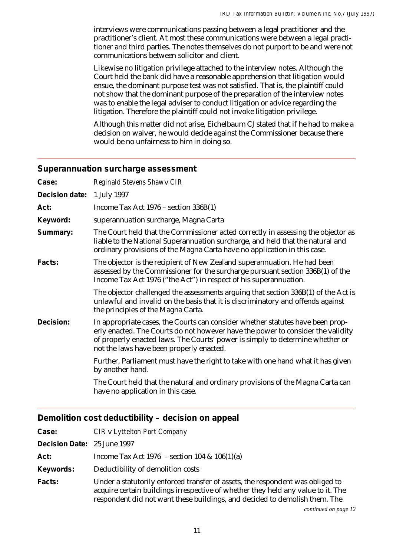interviews were communications passing between a legal practitioner and the practitioner's client. At most these communications were between a legal practitioner and third parties. The notes themselves do not purport to be and were not communications between solicitor and client.

Likewise no litigation privilege attached to the interview notes. Although the Court held the bank did have a reasonable apprehension that litigation would ensue, the dominant purpose test was not satisfied. That is, the plaintiff could not show that the dominant purpose of the preparation of the interview notes was to enable the legal adviser to conduct litigation or advice regarding the litigation. Therefore the plaintiff could not invoke litigation privilege.

Although this matter did not arise, Eichelbaum CJ stated that if he had to make a decision on waiver, he would decide against the Commissioner because there would be no unfairness to him in doing so.

### **Superannuation surcharge assessment**

| Case:          | Reginald Stevens Shawy CIR                                                                                                                                                                                                                                                                     |
|----------------|------------------------------------------------------------------------------------------------------------------------------------------------------------------------------------------------------------------------------------------------------------------------------------------------|
| Decision date: | 1 July 1997                                                                                                                                                                                                                                                                                    |
| Act:           | Income Tax Act $1976$ – section $336B(1)$                                                                                                                                                                                                                                                      |
| Keyword:       | superannuation surcharge, Magna Carta                                                                                                                                                                                                                                                          |
| Summary:       | The Court held that the Commissioner acted correctly in assessing the objector as<br>liable to the National Superannuation surcharge, and held that the natural and<br>ordinary provisions of the Magna Carta have no application in this case.                                                |
| Facts:         | The objector is the recipient of New Zealand superannuation. He had been<br>assessed by the Commissioner for the surcharge pursuant section 336B(1) of the<br>Income Tax Act 1976 ("the Act") in respect of his superannuation.                                                                |
|                | The objector challenged the assessments arguing that section 336B(1) of the Act is<br>unlawful and invalid on the basis that it is discriminatory and offends against<br>the principles of the Magna Carta.                                                                                    |
| Decision:      | In appropriate cases, the Courts can consider whether statutes have been prop-<br>erly enacted. The Courts do not however have the power to consider the validity<br>of properly enacted laws. The Courts' power is simply to determine whether or<br>not the laws have been properly enacted. |
|                | Further, Parliament must have the right to take with one hand what it has given<br>by another hand.                                                                                                                                                                                            |
|                | The Court held that the natural and ordinary provisions of the Magna Carta can<br>have no application in this case.                                                                                                                                                                            |

### **Demolition cost deductibility – decision on appeal**

| Case:                       | CIR v Lyttelton Port Company                                                                                                                                                                                                                     |
|-----------------------------|--------------------------------------------------------------------------------------------------------------------------------------------------------------------------------------------------------------------------------------------------|
| Decision Date: 25 June 1997 |                                                                                                                                                                                                                                                  |
| Act:                        | Income Tax Act 1976 – section 104 & $106(1)(a)$                                                                                                                                                                                                  |
| Keywords:                   | Deductibility of demolition costs                                                                                                                                                                                                                |
| Facts:                      | Under a statutorily enforced transfer of assets, the respondent was obliged to<br>acquire certain buildings irrespective of whether they held any value to it. The<br>respondent did not want these buildings, and decided to demolish them. The |

*continued on page 12*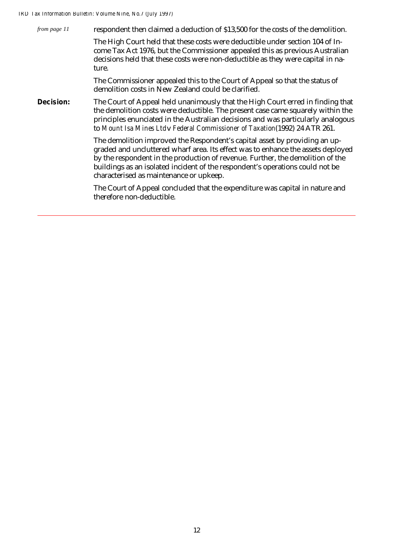| from page 11 | respondent then claimed a deduction of \$13,500 for the costs of the demolition.<br>The High Court held that these costs were deductible under section 104 of In-<br>come Tax Act 1976, but the Commissioner appealed this as previous Australian<br>decisions held that these costs were non-deductible as they were capital in na-<br>ture.                                |
|--------------|------------------------------------------------------------------------------------------------------------------------------------------------------------------------------------------------------------------------------------------------------------------------------------------------------------------------------------------------------------------------------|
|              | The Commissioner appealed this to the Court of Appeal so that the status of<br>demolition costs in New Zealand could be clarified.                                                                                                                                                                                                                                           |
| Decision:    | The Court of Appeal held unanimously that the High Court erred in finding that<br>the demolition costs were deductible. The present case came squarely within the<br>principles enunciated in the Australian decisions and was particularly analogous<br>to Mount Isa Mines Ltdy Federal Commissioner of Taxation(1992) 24 ATR 261.                                          |
|              | The demolition improved the Respondent's capital asset by providing an up-<br>graded and uncluttered wharf area. Its effect was to enhance the assets deployed<br>by the respondent in the production of revenue. Further, the demolition of the<br>buildings as an isolated incident of the respondent's operations could not be<br>characterised as maintenance or upkeep. |
|              | The Court of Appeal concluded that the expenditure was capital in nature and<br>therefore non-deductible.                                                                                                                                                                                                                                                                    |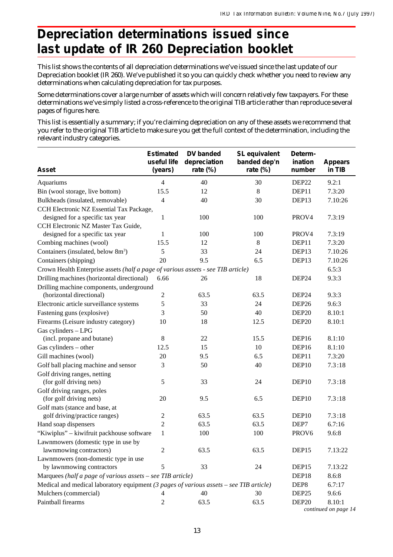# **Depreciation determinations issued since last update of IR 260 Depreciation booklet**

This list shows the contents of all depreciation determinations we've issued since the last update of our Depreciation booklet (IR 260). We've published it so you can quickly check whether you need to review any determinations when calculating depreciation for tax purposes.

Some determinations cover a large number of assets which will concern relatively few taxpayers. For these determinations we've simply listed a cross-reference to the original TIB article rather than reproduce several pages of figures here.

This list is essentially a summary; if you're claiming depreciation on any of these assets we recommend that you refer to the original TIB article to make sure you get the full context of the determination, including the relevant industry categories.

| Asset                                                                                  | <b>Estimated</b><br>useful life<br>(years) | DV banded<br>depreciation<br>rate (%) | SL equivalent<br>banded dep'n<br>rate (%) | Determ-<br>ination<br>number | <b>Appears</b><br>in TIB |
|----------------------------------------------------------------------------------------|--------------------------------------------|---------------------------------------|-------------------------------------------|------------------------------|--------------------------|
| Aquariums                                                                              | 4                                          | 40                                    | 30                                        | DEP <sub>22</sub>            | 9.2:1                    |
| Bin (wool storage, live bottom)                                                        | 15.5                                       | 12                                    | 8                                         | DEP11                        | 7.3:20                   |
| Bulkheads (insulated, removable)                                                       | $\overline{4}$                             | 40                                    | 30                                        | DEP13                        | 7.10:26                  |
| CCH Electronic NZ Essential Tax Package,                                               |                                            |                                       |                                           |                              |                          |
| designed for a specific tax year                                                       | 1                                          | 100                                   | 100                                       | PROV4                        | 7.3:19                   |
| CCH Electronic NZ Master Tax Guide,                                                    |                                            |                                       |                                           |                              |                          |
| designed for a specific tax year                                                       | 1                                          | 100                                   | 100                                       | PROV4                        | 7.3:19                   |
| Combing machines (wool)                                                                | 15.5                                       | 12                                    | $8\,$                                     | DEP11                        | 7.3:20                   |
| Containers (insulated, below 8m <sup>3</sup> )                                         | 5                                          | 33                                    | 24                                        | DEP13                        | 7.10:26                  |
| Containers (shipping)                                                                  | 20                                         | 9.5                                   | 6.5                                       | DEP13                        | 7.10:26                  |
| Crown Health Enterprise assets (half a page of various assets - see TIB article)       |                                            |                                       |                                           |                              | 6.5:3                    |
| Drilling machines (horizontal directional)                                             | 6.66                                       | 26                                    | 18                                        | DEP24                        | 9.3:3                    |
| Drilling machine components, underground                                               |                                            |                                       |                                           |                              |                          |
| (horizontal directional)                                                               | 2                                          | 63.5                                  | 63.5                                      | DEP24                        | 9.3:3                    |
| Electronic article surveillance systems                                                | 5                                          | 33                                    | 24                                        | DEP <sub>26</sub>            | 9.6:3                    |
| Fastening guns (explosive)                                                             | 3                                          | 50                                    | 40                                        | DEP <sub>20</sub>            | 8.10:1                   |
| Firearms (Leisure industry category)                                                   | 10                                         | 18                                    | 12.5                                      | DEP <sub>20</sub>            | 8.10:1                   |
| Gas cylinders - LPG                                                                    |                                            |                                       |                                           |                              |                          |
| (incl. propane and butane)                                                             | 8                                          | 22                                    | 15.5                                      | DEP16                        | 8.1:10                   |
| Gas cylinders - other                                                                  | 12.5                                       | 15                                    | 10                                        | DEP16                        | 8.1:10                   |
| Gill machines (wool)                                                                   | 20                                         | 9.5                                   | 6.5                                       | DEP11                        | 7.3:20                   |
| Golf ball placing machine and sensor                                                   | 3                                          | 50                                    | 40                                        | DEP <sub>10</sub>            | 7.3:18                   |
| Golf driving ranges, netting                                                           |                                            |                                       |                                           |                              |                          |
| (for golf driving nets)                                                                | 5                                          | 33                                    | 24                                        | DEP <sub>10</sub>            | 7.3:18                   |
| Golf driving ranges, poles                                                             |                                            |                                       |                                           |                              |                          |
| (for golf driving nets)                                                                | 20                                         | 9.5                                   | 6.5                                       | DEP <sub>10</sub>            | 7.3:18                   |
| Golf mats (stance and base, at                                                         |                                            |                                       |                                           |                              |                          |
| golf driving/practice ranges)                                                          | $\overline{c}$                             | 63.5                                  | 63.5                                      | DEP <sub>10</sub>            | 7.3:18                   |
| Hand soap dispensers                                                                   | $\overline{c}$                             | 63.5                                  | 63.5                                      | DEP7                         | 6.7:16                   |
| "Kiwiplus" - kiwifruit packhouse software                                              | $\mathbf{1}$                               | 100                                   | 100                                       | PROV6                        | 9.6:8                    |
| Lawnmowers (domestic type in use by                                                    |                                            |                                       |                                           |                              |                          |
| lawnmowing contractors)                                                                | 2                                          | 63.5                                  | 63.5                                      | DEP15                        | 7.13:22                  |
| Lawnmowers (non-domestic type in use                                                   |                                            |                                       |                                           |                              |                          |
| by lawnmowing contractors                                                              | 5                                          | 33                                    | 24                                        | DEP15                        | 7.13:22                  |
| Marquees (half a page of various assets - see TIB article)                             |                                            |                                       |                                           | DEP18                        | 8.6:8                    |
| Medical and medical laboratory equipment (3 pages of various assets – see TIB article) |                                            |                                       |                                           | DEP <sub>8</sub>             | 6.7:17                   |
| Mulchers (commercial)                                                                  | 4                                          | 40                                    | 30                                        | DEP <sub>25</sub>            | 9.6:6                    |
| Paintball firearms                                                                     | 2                                          | 63.5                                  | 63.5                                      | DEP <sub>20</sub>            | 8.10:1                   |
|                                                                                        |                                            |                                       |                                           |                              | continued on page 14     |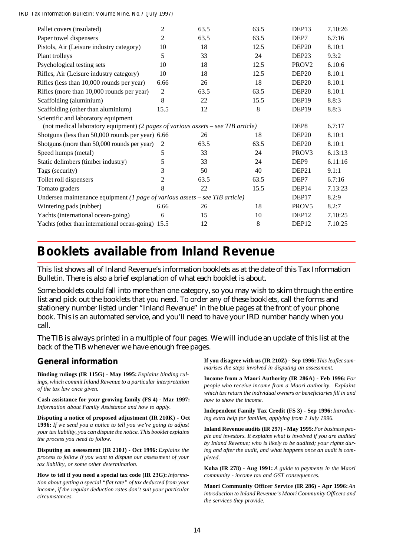| Pallet covers (insulated)                                                        | $\overline{c}$ | 63.5 | 63.5 | DEP13             | 7.10:26 |
|----------------------------------------------------------------------------------|----------------|------|------|-------------------|---------|
| Paper towel dispensers                                                           | 2              | 63.5 | 63.5 | DEP7              | 6.7:16  |
| Pistols, Air (Leisure industry category)                                         | 10             | 18   | 12.5 | DEP <sub>20</sub> | 8.10:1  |
| Plant trolleys                                                                   | 5              | 33   | 24   | DEP <sub>23</sub> | 9.3:2   |
| Psychological testing sets                                                       | 10             | 18   | 12.5 | PROV <sub>2</sub> | 6.10:6  |
| Rifles, Air (Leisure industry category)                                          | 10             | 18   | 12.5 | DEP <sub>20</sub> | 8.10:1  |
| Rifles (less than 10,000 rounds per year)                                        | 6.66           | 26   | 18   | DEP <sub>20</sub> | 8.10:1  |
| Rifles (more than 10,000 rounds per year)                                        | $\overline{c}$ | 63.5 | 63.5 | DEP <sub>20</sub> | 8.10:1  |
| Scaffolding (aluminium)                                                          | 8              | 22   | 15.5 | DEP <sub>19</sub> | 8.8:3   |
| Scaffolding (other than aluminium)                                               | 15.5           | 12   | 8    | DEP <sub>19</sub> | 8.8:3   |
| Scientific and laboratory equipment                                              |                |      |      |                   |         |
| (not medical laboratory equipment) (2 pages of various assets - see TIB article) |                |      |      | DEP <sub>8</sub>  | 6.7:17  |
| Shotguns (less than 50,000 rounds per year) 6.66                                 |                | 26   | 18   | DEP <sub>20</sub> | 8.10:1  |
| Shotguns (more than 50,000 rounds per year)                                      | 2              | 63.5 | 63.5 | DEP <sub>20</sub> | 8.10:1  |
| Speed humps (metal)                                                              | 5              | 33   | 24   | PROV <sub>3</sub> | 6.13:13 |
| Static delimbers (timber industry)                                               | 5              | 33   | 24   | DEP <sub>9</sub>  | 6.11:16 |
| Tags (security)                                                                  | 3              | 50   | 40   | DEP <sub>21</sub> | 9.1:1   |
| Toilet roll dispensers                                                           | 2              | 63.5 | 63.5 | DEP7              | 6.7:16  |
| Tomato graders                                                                   | 8              | 22   | 15.5 | DEP <sub>14</sub> | 7.13:23 |
| Undersea maintenance equipment (1 page of various assets – see TIB article)      |                |      |      | DEP <sub>17</sub> | 8.2:9   |
| Wintering pads (rubber)                                                          | 6.66           | 26   | 18   | PROV <sub>5</sub> | 8.2:7   |
| Yachts (international ocean-going)                                               | 6              | 15   | 10   | DEP <sub>12</sub> | 7.10:25 |
| Yachts (other than international ocean-going) 15.5                               |                | 12   | 8    | DEP12             | 7.10:25 |
|                                                                                  |                |      |      |                   |         |

# **Booklets available from Inland Revenue**

This list shows all of Inland Revenue's information booklets as at the date of this Tax Information Bulletin. There is also a brief explanation of what each booklet is about.

Some booklets could fall into more than one category, so you may wish to skim through the entire list and pick out the booklets that you need. To order any of these booklets, call the forms and stationery number listed under "Inland Revenue" in the blue pages at the front of your phone book. This is an automated service, and you'll need to have your IRD number handy when you call.

The TIB is always printed in a multiple of four pages. We will include an update of this list at the back of the TIB whenever we have enough free pages.

### **General information**

**Binding rulings (IR 115G) - May 1995:** *Explains binding rulings, which commit Inland Revenue to a particular interpretation of the tax law once given.*

**Cash assistance for your growing family (FS 4) - Mar 1997:** *Information about Family Assistance and how to apply.*

**Disputing a notice of proposed adjustment (IR 210K) - Oct 1996:** *If we send you a notice to tell you we're going to adjust your tax liability, you can dispute the notice. This booklet explains the process you need to follow.*

**Disputing an assessment (IR 210J) - Oct 1996:** *Explains the process to follow if you want to dispute our assessment of your tax liability, or some other determination.*

**How to tell if you need a special tax code (IR 23G):** *Information about getting a special "flat rate" of tax deducted from your income, if the regular deduction rates don't suit your particular circumstances.*

**If you disagree with us (IR 210Z) - Sep 1996:** *This leaflet summarises the steps involved in disputing an assessment.*

**Income from a Maori Authority (IR 286A) - Feb 1996:** *For people who receive income from a Maori authority. Explains which tax return the individual owners or beneficiaries fill in and how to show the income.*

**Independent Family Tax Credit (FS 3) - Sep 1996:** *Introducing extra help for families, applying from 1 July 1996.*

**Inland Revenue audits (IR 297) - May 1995:** *For business people and investors. It explains what is involved if you are audited by Inland Revenue; who is likely to be audited; your rights during and after the audit, and what happens once an audit is completed.*

**Koha (IR 278) - Aug 1991:** *A guide to payments in the Maori community - income tax and GST consequences.*

Maori Community Officer Service (IR 286) - Apr 1996: An *introduction to Inland Revenue's Maori Community Officers and the services they provide.*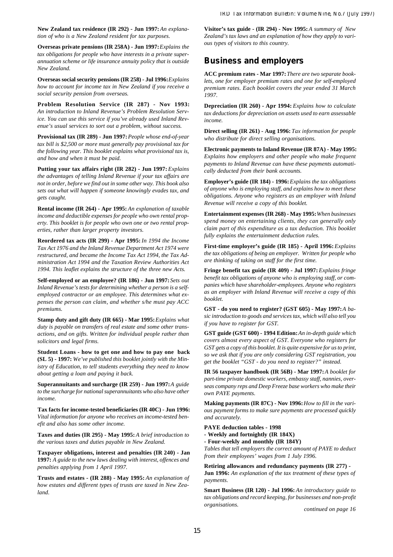New Zealand tax residence (IR 292) - Jun 1997: An explana*tion of who is a New Zealand resident for tax purposes.*

**Overseas private pensions (IR 258A) - Jun 1997:** *Explains the tax obligations for people who have interests in a private superannuation scheme or life insurance annuity policy that is outside New Zealand.*

**Overseas social security pensions (IR 258) - Jul 1996:** *Explains how to account for income tax in New Zealand if you receive a social security pension from overseas.*

**Problem Resolution Service (IR 287) - Nov 1993:** *An introduction to Inland Revenue's Problem Resolution Service. You can use this service if you've already used Inland Revenue's usual services to sort out a problem, without success.*

**Provisional tax (IR 289) - Jun 1997:** *People whose end-of-year tax bill is \$2,500 or more must generally pay provisional tax for the following year. This booklet explains what provisional tax is, and how and when it must be paid.*

Putting your tax affairs right (IR 282) - Jun 1997: *Explains the advantages of telling Inland Revenue if your tax affairs are not in order, before we find out in some other way. This book also sets out what will happen if someone knowingly evades tax, and gets caught.*

**Rental income (IR 264) - Apr 1995:** *An explanation of taxable income and deductible expenses for people who own rental property. This booklet is for people who own one or two rental properties, rather than larger property investors.*

**Reordered tax acts (IR 299) - Apr 1995:** *In 1994 the Income Tax Act 1976 and the Inland Revenue Department Act 1974 were restructured, and became the Income Tax Act 1994, the Tax Administration Act 1994 and the Taxation Review Authorities Act 1994. This leaflet explains the structure of the three new Acts.*

**Self-employed or an employee? (IR 186) - Jun 1997:** *Sets out Inland Revenue's tests for determining whether a person is a selfemployed contractor or an employee. This determines what expenses the person can claim, and whether s/he must pay ACC premiums.*

**Stamp duty and gift duty (IR 665) - Mar 1995:** *Explains what duty is payable on transfers of real estate and some other transactions, and on gifts. Written for individual people rather than solicitors and legal firms.*

**Student Loans - how to get one and how to pay one back (SL 5) - 1997:** *We've published this booklet jointly with the Ministry of Education, to tell students everything they need to know about getting a loan and paying it back.*

**Superannuitants and surcharge (IR 259) - Jun 1997:** *A guide to the surcharge for national superannuitants who also have other income.*

**Tax facts for income-tested beneficiaries (IR 40C) - Jun 1996:** *Vital information for anyone who receives an income-tested benefit and also has some other income.*

**Taxes and duties (IR 295) - May 1995:***A brief introduction to the various taxes and duties payable in New Zealand.*

**Taxpayer obligations, interest and penalties (IR 240) - Jan 1997:** *A guide to the new laws dealing with interest, offences and penalties applying from 1 April 1997.*

**Trusts and estates - (IR 288) - May 1995:** *An explanation of how estates and different types of trusts are taxed in New Zealand.*

**Visitor's tax guide - (IR 294) - Nov 1995:** *A summary of New Zealand's tax laws and an explanation of how they apply to various types of visitors to this country.*

### **Business and employers**

**ACC premium rates - Mar 1997:** *There are two separate booklets, one for employer premium rates and one for self-employed premium rates. Each booklet covers the year ended 31 March 1997.*

**Depreciation (IR 260) - Apr 1994:** *Explains how to calculate tax deductions for depreciation on assets used to earn assessable income.*

**Direct selling (IR 261) - Aug 1996:** *Tax information for people who distribute for direct selling organisations.*

**Electronic payments to Inland Revenue (IR 87A) - May 1995:** *Explains how employers and other people who make frequent payments to Inland Revenue can have these payments automatically deducted from their bank accounts.*

**Employer's guide (IR 184) - 1996:** *Explains the tax obligations of anyone who is employing staff, and explains how to meet these obligations. Anyone who registers as an employer with Inland Revenue will receive a copy of this booklet.*

**Entertainment expenses (IR 268) - May 1995:** *When businesses spend money on entertaining clients, they can generally only claim part of this expenditure as a tax deduction. This booklet fully explains the entertainment deduction rules.*

First-time employer's guide (IR 185) - April 1996: *Explains the tax obligations of being an employer. Written for people who are thinking of taking on staff for the first time.*

**Fringe benefit tax guide (IR 409) - Jul 1997:** *Explains fringe benefit tax obligations of anyone who is employing staff, or companies which have shareholder-employees. Anyone who registers as an employer with Inland Revenue will receive a copy of this booklet.*

GST - do you need to register? (GST 605) - May 1997: *A basic introduction to goods and services tax, which will also tell you if you have to register for GST.*

**GST guide (GST 600) - 1994 Edition:** *An in-depth guide which covers almost every aspect of GST. Everyone who registers for GST gets a copy of this booklet. It is quite expensive for us to print, so we ask that if you are only considering GST registration, you get the booklet "GST - do you need to register?" instead.*

**IR 56 taxpayer handbook (IR 56B) - Mar 1997:** *A booklet for part-time private domestic workers, embassy staff, nannies, overseas company reps and Deep Freeze base workers who make their own PAYE payments.*

**Making payments (IR 87C) - Nov 1996:** *How to fill in the various payment forms to make sure payments are processed quickly and accurately.*

**PAYE deduction tables - 1998**

**- Weekly and fortnightly (IR 184X)**

**- Four-weekly and monthly (IR 184Y)**

*Tables that tell employers the correct amount of PAYE to deduct from their employees' wages from 1 July 1996.*

**Retiring allowances and redundancy payments (IR 277) -**

**Jun 1996:** *An explanation of the tax treatment of these types of payments.*

**Smart Business (IR 120) - Jul 1996:** *An introductory guide to tax obligations and record keeping, for businesses and non-profit organisations.*

*continued on page 16*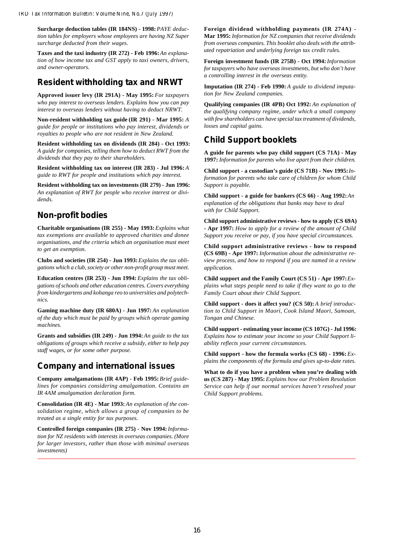Surcharge deduction tables (IR 184NS) - 1998: PAYE deduc*tion tables for employers whose employees are having NZ Super surcharge deducted from their wages.*

Taxes and the taxi industry (IR 272) - Feb 1996: An explana*tion of how income tax and GST apply to taxi owners, drivers, and owner-operators.*

### **Resident withholding tax and NRWT**

**Approved issuer levy (IR 291A) - May 1995:** *For taxpayers who pay interest to overseas lenders. Explains how you can pay interest to overseas lenders without having to deduct NRWT.*

**Non-resident withholding tax guide (IR 291) - Mar 1995:** *A guide for people or institutions who pay interest, dividends or royalties to people who are not resident in New Zealand.*

**Resident withholding tax on dividends (IR 284) - Oct 1993:** *A guide for companies, telling them how to deduct RWT from the dividends that they pay to their shareholders.*

**Resident withholding tax on interest (IR 283) - Jul 1996:***A guide to RWT for people and institutions which pay interest.*

**Resident withholding tax on investments (IR 279) - Jun 1996:** *An explanation of RWT for people who receive interest or dividends.*

### **Non-profit bodies**

**Charitable organisations (IR 255) - May 1993:***Explains what tax exemptions are available to approved charities and donee organisations, and the criteria which an organisation must meet to get an exemption.*

**Clubs and societies (IR 254) - Jun 1993:***Explains the tax obligations which a club, society or other non-profit group must meet.*

**Education centres (IR 253) - Jun 1994:** *Explains the tax obligations of schools and other education centres. Covers everything from kindergartens and kohanga reo to universities and polytechnics.*

**Gaming machine duty (IR 680A) - Jun 1997:***An explanation of the duty which must be paid by groups which operate gaming machines.*

**Grants and subsidies (IR 249) - Jun 1994:***An guide to the tax obligations of groups which receive a subsidy, either to help pay staff wages, or for some other purpose.*

### **Company and international issues**

**Company amalgamations (IR 4AP) - Feb 1995:** *Brief guidelines for companies considering amalgamation. Contains an IR 4AM amalgamation declaration form.*

**Consolidation (IR 4E) - Mar 1993:***An explanation of the consolidation regime, which allows a group of companies to be treated as a single entity for tax purposes.*

**Controlled foreign companies (IR 275) - Nov 1994:***Information for NZ residents with interests in overseas companies. (More for larger investors, rather than those with minimal overseas investments)*

**Foreign dividend withholding payments (IR 274A) - Mar 1995:** *Information for NZ companies that receive dividends from overseas companies. This booklet also deals with the attributed repatriation and underlying foreign tax credit rules.*

**Foreign investment funds (IR 275B) - Oct 1994:***Information for taxpayers who have overseas investments, but who don't have a controlling interest in the overseas entity.*

**Imputation (IR 274) - Feb 1990:** *A guide to dividend imputation for New Zealand companies.*

**Qualifying companies (IR 4PB) Oct 1992:** *An explanation of the qualifying company regime, under which a small company with few shareholders can have special tax treatment of dividends, losses and capital gains.*

### **Child Support booklets**

**A guide for parents who pay child support (CS 71A) - May 1997:** *Information for parents who live apart from their children.*

**Child support - a custodian's guide (CS 71B) - Nov 1995:***Information for parents who take care of children for whom Child Support is payable.*

**Child support - a guide for bankers (CS 66) - Aug 1992:***An explanation of the obligations that banks may have to deal with for Child Support.*

**Child support administrative reviews - how to apply (CS 69A) - Apr 1997:** *How to apply for a review of the amount of Child Support you receive or pay, if you have special circumstances.*

**Child support administrative reviews - how to respond (CS 69B) - Apr 1997:** *Information about the administrative review process, and how to respond if you are named in a review application.*

**Child support and the Family Court (CS 51) - Apr 1997:***Explains what steps people need to take if they want to go to the Family Court about their Child Support.*

**Child support - does it affect you? (CS 50):** *A brief introduction to Child Support in Maori, Cook Island Maori, Samoan, Tongan and Chinese.*

**Child support - estimating your income (CS 107G) - Jul 1996:** *Explains how to estimate your income so your Child Support liability reflects your current circumstances.*

**Child support - how the formula works (CS 68) - 1996:***Explains the components of the formula and gives up-to-date rates.*

**What to do if you have a problem when you're dealing with us (CS 287) - May 1995:** *Explains how our Problem Resolution Service can help if our normal services haven't resolved your Child Support problems.*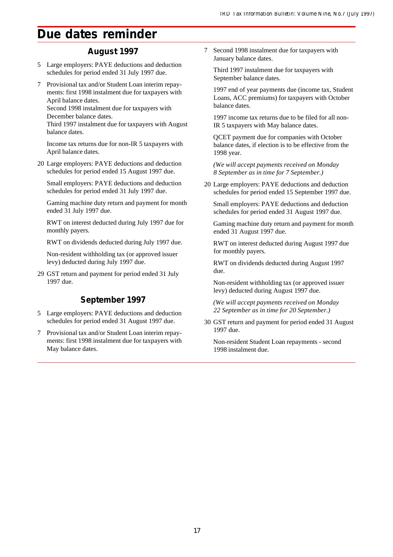# **Due dates reminder**

### **August 1997**

- 5 Large employers: PAYE deductions and deduction schedules for period ended 31 July 1997 due.
- 7 Provisional tax and/or Student Loan interim repayments: first 1998 instalment due for taxpayers with April balance dates. Second 1998 instalment due for taxpayers with December balance dates.

Third 1997 instalment due for taxpayers with August balance dates.

Income tax returns due for non-IR 5 taxpayers with April balance dates.

20 Large employers: PAYE deductions and deduction schedules for period ended 15 August 1997 due.

Small employers: PAYE deductions and deduction schedules for period ended 31 July 1997 due.

Gaming machine duty return and payment for month ended 31 July 1997 due.

RWT on interest deducted during July 1997 due for monthly payers.

RWT on dividends deducted during July 1997 due.

Non-resident withholding tax (or approved issuer levy) deducted during July 1997 due.

29 GST return and payment for period ended 31 July 1997 due.

### **September 1997**

- 5 Large employers: PAYE deductions and deduction schedules for period ended 31 August 1997 due.
- 7 Provisional tax and/or Student Loan interim repayments: first 1998 instalment due for taxpayers with May balance dates.

7 Second 1998 instalment due for taxpayers with January balance dates.

Third 1997 instalment due for taxpayers with September balance dates.

1997 end of year payments due (income tax, Student Loans, ACC premiums) for taxpayers with October balance dates.

1997 income tax returns due to be filed for all non-IR 5 taxpayers with May balance dates.

QCET payment due for companies with October balance dates, if election is to be effective from the 1998 year.

*(We will accept payments received on Monday 8 September as in time for 7 September.)*

20 Large employers: PAYE deductions and deduction schedules for period ended 15 September 1997 due.

Small employers: PAYE deductions and deduction schedules for period ended 31 August 1997 due.

Gaming machine duty return and payment for month ended 31 August 1997 due.

RWT on interest deducted during August 1997 due for monthly payers.

RWT on dividends deducted during August 1997 due.

Non-resident withholding tax (or approved issuer levy) deducted during August 1997 due.

*(We will accept payments received on Monday 22 September as in time for 20 September.)*

30 GST return and payment for period ended 31 August 1997 due.

Non-resident Student Loan repayments - second 1998 instalment due.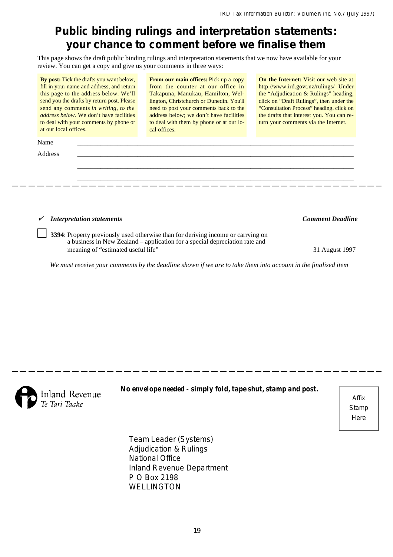# **Public binding rulings and interpretation statements: your chance to comment before we finalise them**

This page shows the draft public binding rulings and interpretation statements that we now have available for your review. You can get a copy and give us your comments in three ways:

**By post:** Tick the drafts you want below, fill in your name and address, and return this page to the address below. We'll send you the drafts by return post. Please send any comments *in writing, to the address below*. We don't have facilities to deal with your comments by phone or at our local offices.

**From our main offices:** Pick up a copy from the counter at our office in Takapuna, Manukau, Hamilton, Wellington, Christchurch or Dunedin. You'll need to post your comments back to the address below; we don't have facilities to deal with them by phone or at our local offices.

**On the Internet:** Visit our web site at http://www.ird.govt.nz/rulings/ Under the "Adjudication & Rulings" heading, click on "Draft Rulings", then under the "Consultation Process" heading, click on the drafts that interest you. You can return your comments via the Internet.

| Name    |  |  |
|---------|--|--|
| Address |  |  |
|         |  |  |
|         |  |  |
|         |  |  |

*Interpretation statements Comment Deadline*

**3394**: Property previously used otherwise than for deriving income or carrying on a business in New Zealand – application for a special depreciation rate and meaning of "estimated useful life" 31 August 1997

*We must receive your comments by the deadline shown if we are to take them into account in the finalised item*



*No envelope needed - simply fold, tape shut, stamp and post.*

Affix **Stamp Here** 

Team Leader (Systems) Adjudication & Rulings National Office Inland Revenue Department P O Box 2198 WELLINGTON